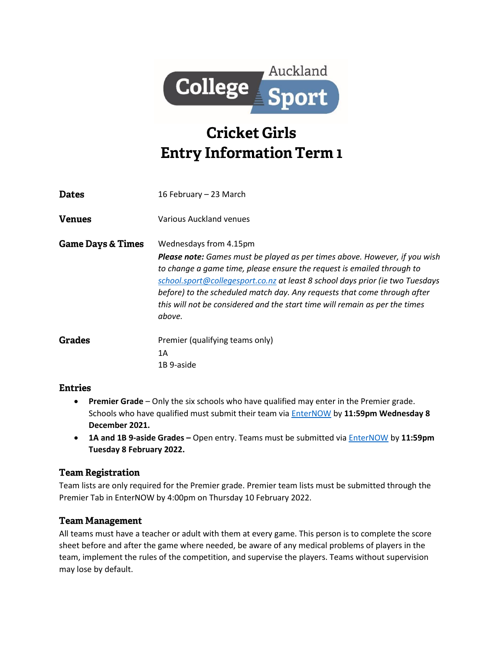

# **Cricket Girls Entry Information Term 1**

| <b>Dates</b>                 | 16 February – 23 March                                                                                                                                                                                                                                                                                                                                                                                                                      |
|------------------------------|---------------------------------------------------------------------------------------------------------------------------------------------------------------------------------------------------------------------------------------------------------------------------------------------------------------------------------------------------------------------------------------------------------------------------------------------|
| <b>Venues</b>                | Various Auckland venues                                                                                                                                                                                                                                                                                                                                                                                                                     |
| <b>Game Days &amp; Times</b> | Wednesdays from 4.15pm<br><b>Please note:</b> Games must be played as per times above. However, if you wish<br>to change a game time, please ensure the request is emailed through to<br>school.sport@collegesport.co.nz at least 8 school days prior (ie two Tuesdays<br>before) to the scheduled match day. Any requests that come through after<br>this will not be considered and the start time will remain as per the times<br>above. |
| Grades                       | Premier (qualifying teams only)<br>1A<br>1B 9-aside                                                                                                                                                                                                                                                                                                                                                                                         |

#### **Entries**

- **Premier Grade** Only the six schools who have qualified may enter in the Premier grade. Schools who have qualified must submit their team via [EnterNOW](https://enternow.co.nz/enternow-app/collegesportauckland/entries) by **11:59pm Wednesday 8 December 2021.**
- **1A and 1B 9-aside Grades –** Open entry. Teams must be submitted vi[a EnterNOW](https://enternow.co.nz/enternow-app/collegesportauckland/entries) by **11:59pm Tuesday 8 February 2022.**

### **Team Registration**

Team lists are only required for the Premier grade. Premier team lists must be submitted through the Premier Tab in EnterNOW by 4:00pm on Thursday 10 February 2022.

### **Team Management**

All teams must have a teacher or adult with them at every game. This person is to complete the score sheet before and after the game where needed, be aware of any medical problems of players in the team, implement the rules of the competition, and supervise the players. Teams without supervision may lose by default.